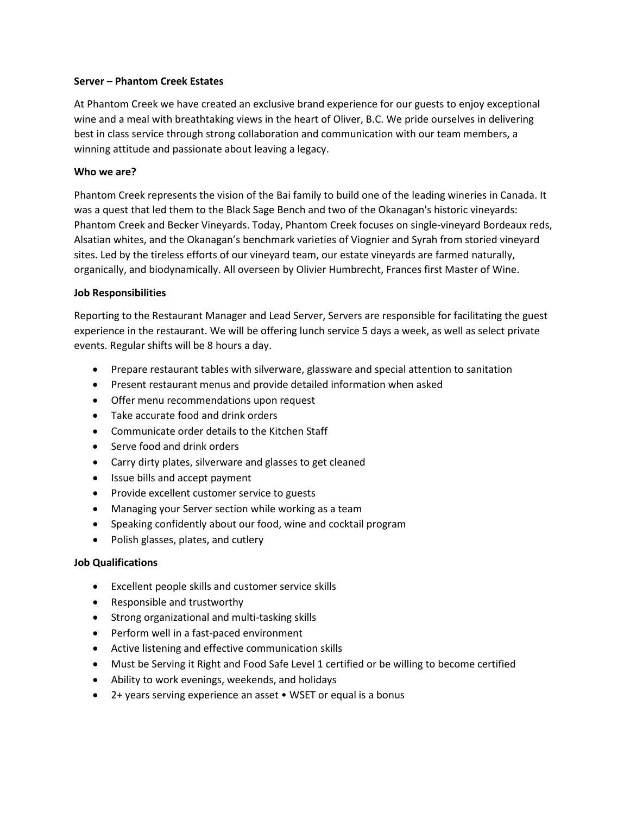## **Server – Phantom Creek Estates**

At Phantom Creek we have created an exclusive brand experience for our guests to enjoy exceptional wine and a meal with breathtaking views in the heart of Oliver, B.C. We pride ourselves in delivering best in class service through strong collaboration and communication with our team members, a winning attitude and passionate about leaving a legacy.

## **Who we are?**

Phantom Creek represents the vision of the Bai family to build one of the leading wineries in Canada. It was a quest that led them to the Black Sage Bench and two of the Okanagan's historic vineyards: Phantom Creek and Becker Vineyards. Today, Phantom Creek focuses on single-vineyard Bordeaux reds, Alsatian whites, and the Okanagan's benchmark varieties of Viognier and Syrah from storied vineyard sites. Led by the tireless efforts of our vineyard team, our estate vineyards are farmed naturally, organically, and biodynamically. All overseen by Olivier Humbrecht, Frances first Master of Wine.

## **Job Responsibilities**

Reporting to the Restaurant Manager and Lead Server, Servers are responsible for facilitating the guest experience in the restaurant. We will be offering lunch service 5 days a week, as well as select private events. Regular shifts will be 8 hours a day.

- Prepare restaurant tables with silverware, glassware and special attention to sanitation
- Present restaurant menus and provide detailed information when asked
- Offer menu recommendations upon request
- Take accurate food and drink orders
- Communicate order details to the Kitchen Staff
- Serve food and drink orders
- Carry dirty plates, silverware and glasses to get cleaned
- Issue bills and accept payment
- Provide excellent customer service to guests
- Managing your Server section while working as a team
- Speaking confidently about our food, wine and cocktail program
- Polish glasses, plates, and cutlery

## **Job Qualifications**

- Excellent people skills and customer service skills
- Responsible and trustworthy
- Strong organizational and multi-tasking skills
- Perform well in a fast-paced environment
- Active listening and effective communication skills
- Must be Serving it Right and Food Safe Level 1 certified or be willing to become certified
- Ability to work evenings, weekends, and holidays
- 2+ years serving experience an asset WSET or equal is a bonus